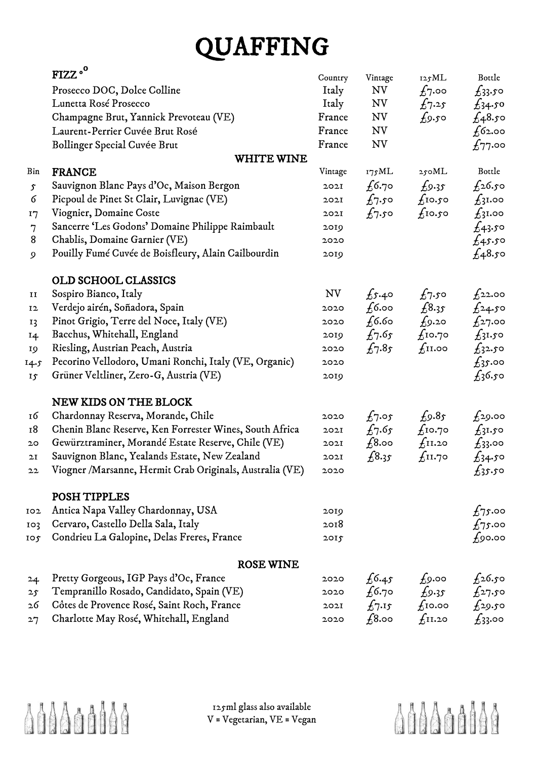## QUAFFING

|                 | FIZZ <sup>o</sup>                                        | Country   | Vintage                 | 125ML              | Bottle          |
|-----------------|----------------------------------------------------------|-----------|-------------------------|--------------------|-----------------|
|                 | Prosecco DOC, Dolce Colline                              | Italy     | NV                      | $f_7$ .00          | $f_33.50$       |
|                 | Lunetta Rosé Prosecco                                    | Italy     | NV                      | $f_{7.25}$         | $f_34.50$       |
|                 | Champagne Brut, Yannick Prevoteau (VE)                   | France    | NV                      | $f_9.50$           | $\pounds$ 48.50 |
|                 | Laurent-Perrier Cuvée Brut Rosé                          | France    | NV                      |                    | $f$ 62.00       |
|                 | Bollinger Special Cuvée Brut                             | France    | <b>NV</b>               |                    | $\pounds$ 77.00 |
|                 | <b>WHITE WINE</b>                                        |           |                         |                    |                 |
| Bin             | <b>FRANCE</b>                                            | Vintage   | 175ML                   | 250ML              | Bottle          |
| $\mathfrak{S}$  | Sauvignon Blanc Pays d'Oc, Maison Bergon                 | 202I      | $f_{6.70}$              | $f_{9.35}$         | $f_2$ 6.50      |
| 6               | Picpoul de Pinet St Clair, Luvignac (VE)                 | 202I      | $f_7$ .50               | $f$ 10.50          | $f_3$ 1.00      |
| 17              | Viognier, Domaine Coste                                  | 202I      | $f_7$ . $\mathfrak{so}$ | $f$ 10.50          | $f_3$ 1.00      |
| 7               | Sancerre 'Les Godons' Domaine Philippe Raimbault         | 2019      |                         |                    | $f_{43}$ .50    |
| 8               | Chablis, Domaine Garnier (VE)                            | 2020      |                         |                    | $f_{4}$ 5.50    |
| $\mathfrak{g}$  | Pouilly Fumé Cuvée de Boisfleury, Alain Cailbourdin      | 2019      |                         |                    | $f_48.50$       |
|                 | OLD SCHOOL CLASSICS                                      |           |                         |                    |                 |
| п               | Sospiro Bianco, Italy                                    | <b>NV</b> | $f_{5.40}$              | $f_7$ .50          | $f_2$ 2.00      |
| 12              | Verdejo airén, Soñadora, Spain                           | 2020      | $f$ 6.00                | £8.35              | $f_{24.50}$     |
| I <sub>3</sub>  | Pinot Grigio, Terre del Noce, Italy (VE)                 | 2020      | $f$ 6.60                | $f_{9:20}$         | $f_2$ 7.00      |
| 14              | Bacchus, Whitehall, England                              | 2019      | $f_7.65$                | $f_{\rm I}$ 0.70   | $f_3$ 1.50      |
| 19              | Riesling, Austrian Peach, Austria                        | 2020      | $f_7.85$                | $f_{\rm II.}$ 00   | $f_3$ 2.50      |
| 14.5            | Pecorino Vellodoro, Umani Ronchi, Italy (VE, Organic)    | 2020      |                         |                    | $f_3$ noo       |
| 15              | Grüner Veltliner, Zero-G, Austria (VE)                   | 2019      |                         |                    | $f_3$ 6.50      |
|                 | <b>NEW KIDS ON THE BLOCK</b>                             |           |                         |                    |                 |
| 16              | Chardonnay Reserva, Morande, Chile                       | 2020      | $f_7.$ 05               | $f_9.85$           | $f_2$ 9.00      |
| 18              | Chenin Blanc Reserve, Ken Forrester Wines, South Africa  | 2021      | $f_7.65$                | $f_{\rm I}$ 0.70   | $f_3$ 1.50      |
| 20              | Gewürztraminer, Morandé Estate Reserve, Chile (VE)       | 2021      | $f_3$ .00               | f <sub>II.20</sub> | $f_33.00$       |
| 2I              | Sauvignon Blanc, Yealands Estate, New Zealand            | 2021      | £8.35                   | f <sub>II.70</sub> | $f_3$ 4.50      |
| 22              | Viogner /Marsanne, Hermit Crab Originals, Australia (VE) | 2020      |                         |                    | $f_3s.s$        |
|                 | POSH TIPPLES                                             |           |                         |                    |                 |
| 102             | Antica Napa Valley Chardonnay, USA                       | 2019      |                         |                    | $f_7$ 5.00      |
| 103             | Cervaro, Castello Della Sala, Italy                      | 2018      |                         |                    | $f_7$ 5.00      |
| 10 <sub>f</sub> | Condrieu La Galopine, Delas Freres, France               | 2015      |                         |                    | $f_9$ 0.00      |
|                 | <b>ROSE WINE</b>                                         |           |                         |                    |                 |
| 24              | Pretty Gorgeous, IGP Pays d'Oc, France                   | 2020      | 6.45                    | $f_9$ .00          | $f_2$ 6.50      |
| 25              | Tempranillo Rosado, Candidato, Spain (VE)                | 2020      | $f$ 6.70                | $f_{9.35}$         | $f_{27.50}$     |
| 26              | Côtes de Provence Rosé, Saint Roch, France               | 202I      | $f_{7.15}$              | f <sub>10.00</sub> | $f_2$ 9.50      |
| 27              | Charlotte May Rosé, Whitehall, England                   | 2020      | $f_{\rm 8.00}$          | $f_{\rm II.20}$    | $f_3$ 3.00      |



125ml glass also available V = Vegetarian, VE = Vegan